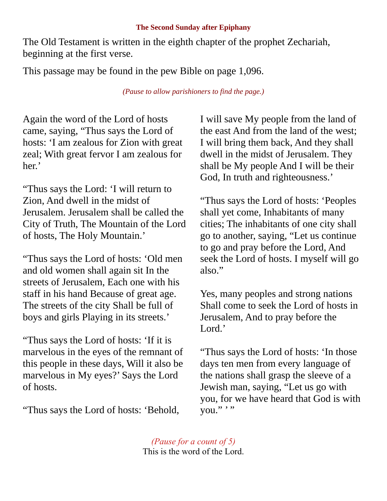## **The Second Sunday after Epiphany**

The Old Testament is written in the eighth chapter of the prophet Zechariah, beginning at the first verse.

This passage may be found in the pew Bible on page 1,096.

*(Pause to allow parishioners to find the page.)*

Again the word of the Lord of hosts came, saying, "Thus says the Lord of hosts: 'I am zealous for Zion with great zeal; With great fervor I am zealous for her.'

"Thus says the Lord: 'I will return to Zion, And dwell in the midst of Jerusalem. Jerusalem shall be called the City of Truth, The Mountain of the Lord of hosts, The Holy Mountain.'

"Thus says the Lord of hosts: 'Old men and old women shall again sit In the streets of Jerusalem, Each one with his staff in his hand Because of great age. The streets of the city Shall be full of boys and girls Playing in its streets.'

"Thus says the Lord of hosts: 'If it is marvelous in the eyes of the remnant of this people in these days, Will it also be marvelous in My eyes?' Says the Lord of hosts.

"Thus says the Lord of hosts: 'Behold,

I will save My people from the land of the east And from the land of the west; I will bring them back, And they shall dwell in the midst of Jerusalem. They shall be My people And I will be their God, In truth and righteousness.'

"Thus says the Lord of hosts: 'Peoples shall yet come, Inhabitants of many cities; The inhabitants of one city shall go to another, saying, "Let us continue to go and pray before the Lord, And seek the Lord of hosts. I myself will go also."

Yes, many peoples and strong nations Shall come to seek the Lord of hosts in Jerusalem, And to pray before the Lord.'

"Thus says the Lord of hosts: 'In those days ten men from every language of the nations shall grasp the sleeve of a Jewish man, saying, "Let us go with you, for we have heard that God is with vou." '"

*(Pause for a count of 5)* This is the word of the Lord.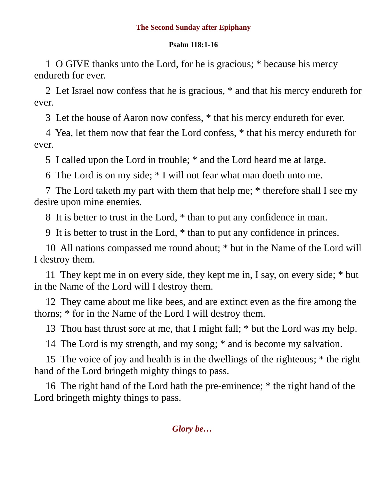## **Psalm 118:1-16**

1 O GIVE thanks unto the Lord, for he is gracious; \* because his mercy endureth for ever.

2 Let Israel now confess that he is gracious, \* and that his mercy endureth for ever.

3 Let the house of Aaron now confess, \* that his mercy endureth for ever.

4 Yea, let them now that fear the Lord confess, \* that his mercy endureth for ever.

5 I called upon the Lord in trouble; \* and the Lord heard me at large.

6 The Lord is on my side; \* I will not fear what man doeth unto me.

7 The Lord taketh my part with them that help me; \* therefore shall I see my desire upon mine enemies.

8 It is better to trust in the Lord, \* than to put any confidence in man.

9 It is better to trust in the Lord, \* than to put any confidence in princes.

10 All nations compassed me round about; \* but in the Name of the Lord will I destroy them.

11 They kept me in on every side, they kept me in, I say, on every side; \* but in the Name of the Lord will I destroy them.

12 They came about me like bees, and are extinct even as the fire among the thorns; \* for in the Name of the Lord I will destroy them.

13 Thou hast thrust sore at me, that I might fall; \* but the Lord was my help.

14 The Lord is my strength, and my song; \* and is become my salvation.

15 The voice of joy and health is in the dwellings of the righteous; \* the right hand of the Lord bringeth mighty things to pass.

16 The right hand of the Lord hath the pre-eminence; \* the right hand of the Lord bringeth mighty things to pass.

*Glory be…*